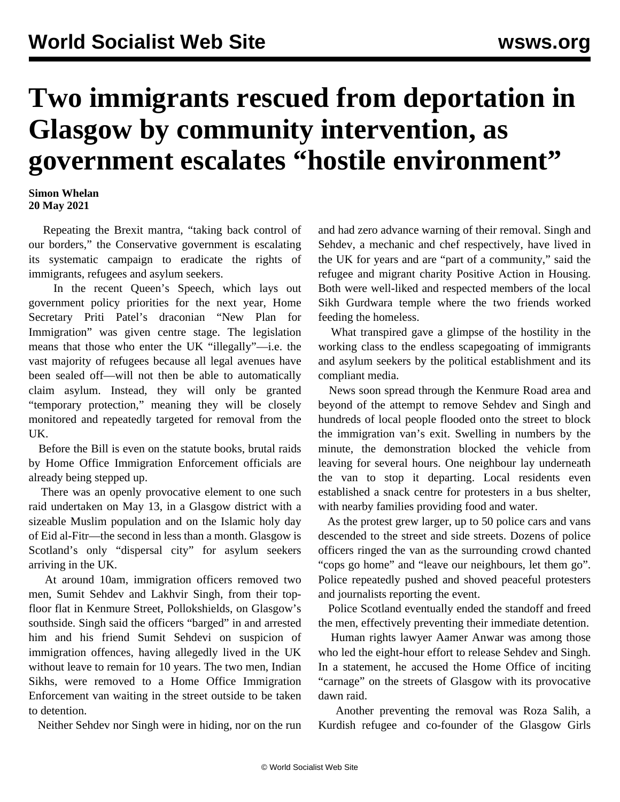## **Two immigrants rescued from deportation in Glasgow by community intervention, as government escalates "hostile environment"**

## **Simon Whelan 20 May 2021**

 Repeating the Brexit mantra, "taking back control of our borders," the Conservative government is escalating its systematic campaign to eradicate the rights of immigrants, refugees and asylum seekers.

 In the recent Queen's Speech, which lays out government policy priorities for the next year, Home Secretary Priti Patel's draconian ["New Plan for](/en/articles/2021/04/01/immi-a01.html) [Immigration"](/en/articles/2021/04/01/immi-a01.html) was given centre stage. The legislation means that those who enter the UK "illegally"—i.e. the vast majority of refugees because all legal avenues have been sealed off—will not then be able to automatically claim asylum. Instead, they will only be granted "temporary protection," meaning they will be closely monitored and repeatedly targeted for removal from the UK.

 Before the Bill is even on the statute books, brutal raids by Home Office Immigration Enforcement officials are already being stepped up.

 There was an openly provocative element to one such raid undertaken on May 13, in a Glasgow district with a sizeable Muslim population and on the Islamic holy day of Eid al-Fitr—the second in less than a month. Glasgow is Scotland's only "dispersal city" for asylum seekers arriving in the UK.

 At around 10am, immigration officers removed two men, Sumit Sehdev and Lakhvir Singh, from their topfloor flat in Kenmure Street, Pollokshields, on Glasgow's southside. Singh said the officers "barged" in and arrested him and his friend Sumit Sehdevi on suspicion of immigration offences, having allegedly lived in the UK without leave to remain for 10 years. The two men, Indian Sikhs, were removed to a Home Office Immigration Enforcement van waiting in the street outside to be taken to detention.

Neither Sehdev nor Singh were in hiding, nor on the run

and had zero advance warning of their removal. Singh and Sehdev, a mechanic and chef respectively, have lived in the UK for years and are "part of a community," said the refugee and migrant charity Positive Action in Housing. Both were well-liked and respected members of the local Sikh Gurdwara temple where the two friends worked feeding the homeless.

 What transpired gave a glimpse of the hostility in the working class to the endless scapegoating of immigrants and asylum seekers by the political establishment and its compliant media.

 News soon spread through the Kenmure Road area and beyond of the attempt to remove Sehdev and Singh and hundreds of local people flooded onto the street to block the immigration van's exit. Swelling in numbers by the minute, the demonstration blocked the vehicle from leaving for several hours. One neighbour lay underneath the van to stop it departing. Local residents even established a snack centre for protesters in a bus shelter, with nearby families providing food and water.

 As the protest grew larger, up to 50 police cars and vans descended to the street and side streets. Dozens of police officers ringed the van as the surrounding crowd chanted "cops go home" and "leave our neighbours, let them go". Police repeatedly pushed and shoved peaceful protesters and journalists reporting the event.

 Police Scotland eventually ended the standoff and freed the men, effectively preventing their immediate detention.

 Human rights lawyer Aamer Anwar was among those who led the eight-hour effort to release Sehdev and Singh. In a statement, he accused the Home Office of inciting "carnage" on the streets of Glasgow with its provocative dawn raid.

 Another preventing the removal was Roza Salih, a Kurdish refugee and co-founder of the Glasgow Girls